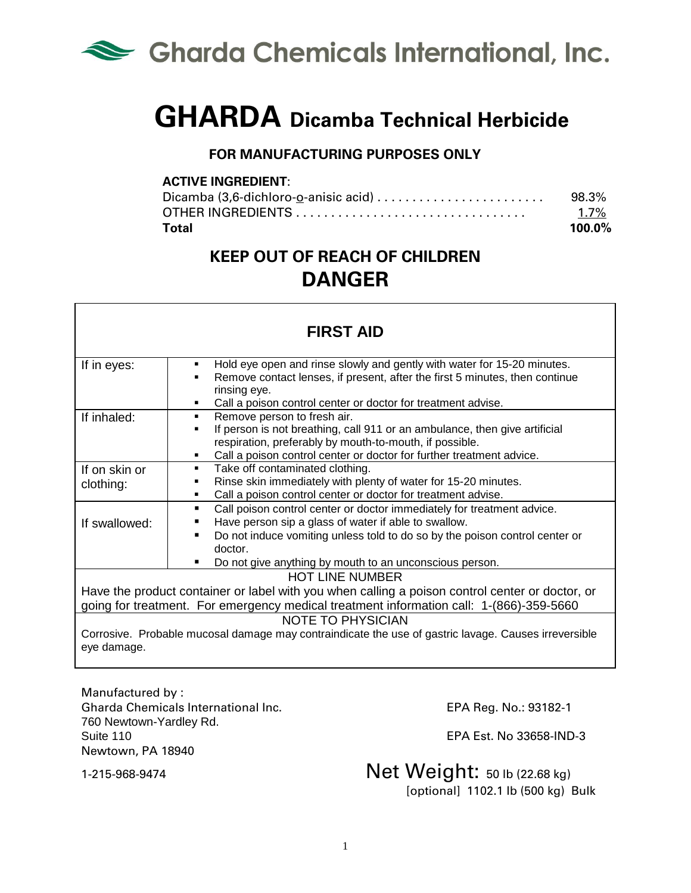

# **GHARDA Dicamba Technical Herbicide**

#### **FOR MANUFACTURING PURPOSES ONLY**

#### **ACTIVE INGREDIENT**:

| Dicamba $(3,6$ -dichloro-o-anisic acid $\ldots \ldots \ldots \ldots \ldots \ldots \ldots$ | 98.3%     |
|-------------------------------------------------------------------------------------------|-----------|
|                                                                                           | $1.7\%$   |
| <b>Total</b>                                                                              | $100.0\%$ |

## **KEEP OUT OF REACH OF CHILDREN DANGER**

| <b>FIRST AID</b>                                                                                                                                                                           |                                                                                                                                                                                                                                                                                                       |  |
|--------------------------------------------------------------------------------------------------------------------------------------------------------------------------------------------|-------------------------------------------------------------------------------------------------------------------------------------------------------------------------------------------------------------------------------------------------------------------------------------------------------|--|
| If in eyes:                                                                                                                                                                                | Hold eye open and rinse slowly and gently with water for 15-20 minutes.<br>Remove contact lenses, if present, after the first 5 minutes, then continue<br>rinsing eye.<br>Call a poison control center or doctor for treatment advise.                                                                |  |
| If inhaled:                                                                                                                                                                                | Remove person to fresh air.<br>$\blacksquare$<br>If person is not breathing, call 911 or an ambulance, then give artificial<br>respiration, preferably by mouth-to-mouth, if possible.<br>Call a poison control center or doctor for further treatment advice.                                        |  |
| If on skin or<br>clothing:                                                                                                                                                                 | Take off contaminated clothing.<br>Rinse skin immediately with plenty of water for 15-20 minutes.<br>Call a poison control center or doctor for treatment advise.                                                                                                                                     |  |
| If swallowed:                                                                                                                                                                              | Call poison control center or doctor immediately for treatment advice.<br>Have person sip a glass of water if able to swallow.<br>Do not induce vomiting unless told to do so by the poison control center or<br>$\blacksquare$<br>doctor.<br>Do not give anything by mouth to an unconscious person. |  |
| <b>HOT LINE NUMBER</b>                                                                                                                                                                     |                                                                                                                                                                                                                                                                                                       |  |
| Have the product container or label with you when calling a poison control center or doctor, or<br>going for treatment. For emergency medical treatment information call: 1-(866)-359-5660 |                                                                                                                                                                                                                                                                                                       |  |
| <b>NOTE TO PHYSICIAN</b><br>Corrosive. Probable mucosal damage may contraindicate the use of gastric lavage. Causes irreversible<br>eye damage.                                            |                                                                                                                                                                                                                                                                                                       |  |

Manufactured by : Gharda Chemicals International Inc. EPA Reg. No.: 93182-1 760 Newtown-Yardley Rd. Suite 110 EPA Est. No 33658-IND-3 Newtown, PA 18940

### 1-215-968-9474 Net Weight: 50 lb (22.68 kg)

[optional] 1102.1 lb (500 kg) Bulk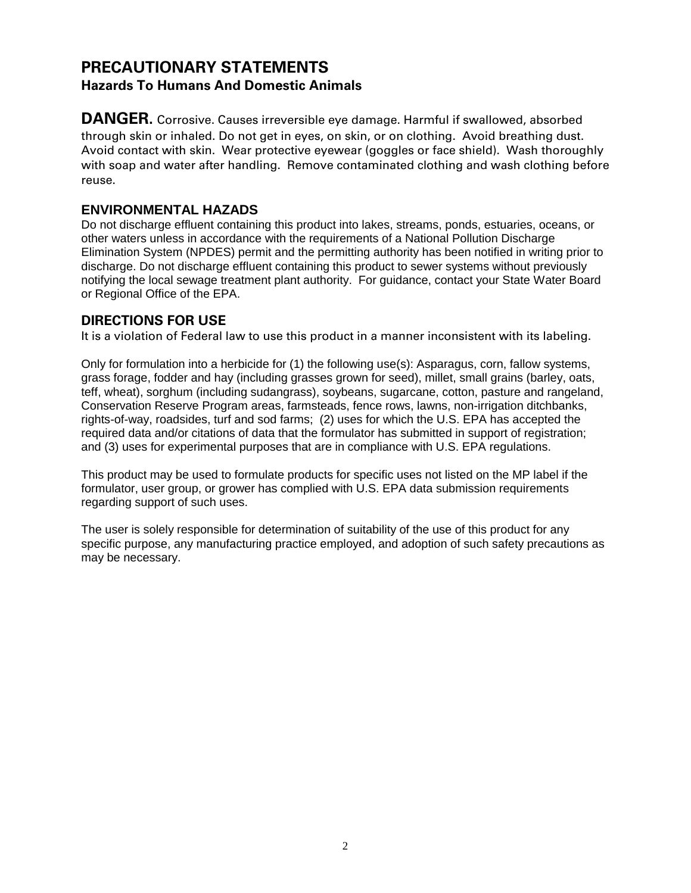#### **PRECAUTIONARY STATEMENTS Hazards To Humans And Domestic Animals**

**DANGER.** Corrosive. Causes irreversible eye damage. Harmful if swallowed, absorbed through skin or inhaled. Do not get in eyes, on skin, or on clothing. Avoid breathing dust. Avoid contact with skin. Wear protective eyewear (goggles or face shield). Wash thoroughly with soap and water after handling. Remove contaminated clothing and wash clothing before reuse.

#### **ENVIRONMENTAL HAZADS**

Do not discharge effluent containing this product into lakes, streams, ponds, estuaries, oceans, or other waters unless in accordance with the requirements of a National Pollution Discharge Elimination System (NPDES) permit and the permitting authority has been notified in writing prior to discharge. Do not discharge effluent containing this product to sewer systems without previously notifying the local sewage treatment plant authority. For guidance, contact your State Water Board or Regional Office of the EPA.

#### **DIRECTIONS FOR USE**

It is a violation of Federal law to use this product in a manner inconsistent with its labeling.

Only for formulation into a herbicide for (1) the following use(s): Asparagus, corn, fallow systems, grass forage, fodder and hay (including grasses grown for seed), millet, small grains (barley, oats, teff, wheat), sorghum (including sudangrass), soybeans, sugarcane, cotton, pasture and rangeland, Conservation Reserve Program areas, farmsteads, fence rows, lawns, non-irrigation ditchbanks, rights-of-way, roadsides, turf and sod farms; (2) uses for which the U.S. EPA has accepted the required data and/or citations of data that the formulator has submitted in support of registration; and (3) uses for experimental purposes that are in compliance with U.S. EPA regulations.

This product may be used to formulate products for specific uses not listed on the MP label if the formulator, user group, or grower has complied with U.S. EPA data submission requirements regarding support of such uses.

The user is solely responsible for determination of suitability of the use of this product for any specific purpose, any manufacturing practice employed, and adoption of such safety precautions as may be necessary.